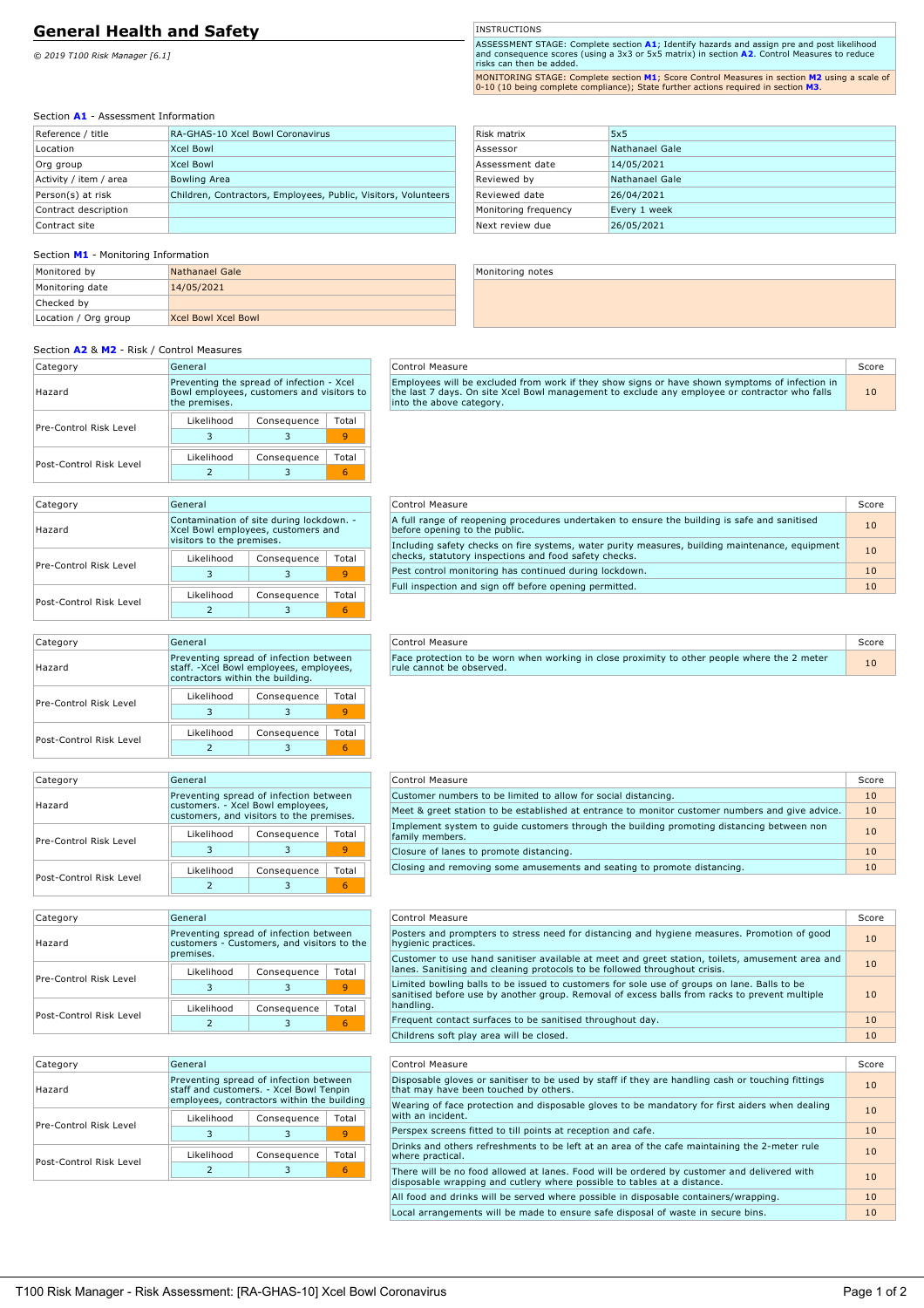# **General Health and Safety**

*© 2019 T100 Risk Manager [6.1]*

**INSTRUCTIONS** 

ASSESSMENT STAGE: Complete section **A1**; Identify hazards and assign pre and post likelihood<br>and consequence scores (using a 3x3 or 5x5 matrix) in section **A2**. Control Measures to reduce<br>risks can then be added.

MONITORING STAGE: Complete section **M1**; Score Control Measures in section **M2** using a scale of 0-10 (10 being complete compliance); State further actions required in section **M3**.

# Section **A1** - Assessment Information

| Reference / title      | RA-GHAS-10 Xcel Bowl Coronavirus                               |
|------------------------|----------------------------------------------------------------|
| Location               | <b>Xcel Bowl</b>                                               |
| Org group              | <b>Xcel Bowl</b>                                               |
| Activity / item / area | <b>Bowling Area</b>                                            |
| Person(s) at risk      | Children, Contractors, Employees, Public, Visitors, Volunteers |
| Contract description   |                                                                |
| Contract site          |                                                                |

## Section **M1** - Monitoring Information

| Monitored by         | Nathanael Gale             |
|----------------------|----------------------------|
| Monitoring date      | 14/05/2021                 |
| Checked by           |                            |
| Location / Org group | <b>Xcel Bowl Xcel Bowl</b> |

| Risk matrix          | 5x5            |
|----------------------|----------------|
| Assessor             | Nathanael Gale |
| Assessment date      | 14/05/2021     |
| Reviewed by          | Nathanael Gale |
| Reviewed date        | 26/04/2021     |
| Monitoring frequency | Every 1 week   |
| Next review due      | 26/05/2021     |

Monitoring notes

# Section **A2** & **M2** - Risk / Control Measures

| Category                | General                                                                                                 |             |       |  |
|-------------------------|---------------------------------------------------------------------------------------------------------|-------------|-------|--|
| Hazard                  | Preventing the spread of infection - Xcel<br>Bowl employees, customers and visitors to<br>the premises. |             |       |  |
| Pre-Control Risk Level  | Likelihood                                                                                              | Consequence | Total |  |
|                         |                                                                                                         |             |       |  |
| Post-Control Risk Level | Likelihood                                                                                              | Consequence | Total |  |
|                         |                                                                                                         |             |       |  |

| Control Measure                                                                                                                                                                                                             | Score |
|-----------------------------------------------------------------------------------------------------------------------------------------------------------------------------------------------------------------------------|-------|
| Employees will be excluded from work if they show signs or have shown symptoms of infection in<br>the last 7 days. On site Xcel Bowl management to exclude any employee or contractor who falls<br>into the above category. | 10    |

### Category General Hazard Contamination of site during lockdown. - Xcel Bowl employees, customers and visitors to the premises. Pre-Control Risk Level Likelihood | Consequence | Total 3 | 3 | <mark>9</mark> Post-Control Risk Level Likelihood | Consequence | Total 2 | 3 <mark>6</mark>

| Control Measure                                                                                                                                          | Score |
|----------------------------------------------------------------------------------------------------------------------------------------------------------|-------|
| A full range of reopening procedures undertaken to ensure the building is safe and sanitised<br>before opening to the public.                            | 10    |
| Including safety checks on fire systems, water purity measures, building maintenance, equipment<br>checks, statutory inspections and food safety checks. | 10    |
| Pest control monitoring has continued during lockdown.                                                                                                   | 10    |
| Full inspection and sign off before opening permitted.                                                                                                   | 10    |
|                                                                                                                                                          |       |

**Control Measure** Score Score Score Score Score Score Score Score Score Score Score Score Score Score Score Score Score Score Score Score Score Score Score Score Score Score Score Score Score Score Score Score Score Score Face protection to be worn when working in close proximity to other people where the 2 meter the state that in<br>rule cannot be observed.

| Category                | General                                                                                                               |             |       |  |
|-------------------------|-----------------------------------------------------------------------------------------------------------------------|-------------|-------|--|
| Hazard                  | Preventing spread of infection between<br>staff. -Xcel Bowl employees, employees,<br>contractors within the building. |             |       |  |
| Pre-Control Risk Level  | Likelihood                                                                                                            | Consequence | Total |  |
|                         | 3                                                                                                                     | З           |       |  |
| Post-Control Risk Level | Likelihood                                                                                                            | Consequence | Total |  |
|                         |                                                                                                                       |             |       |  |

| Category                | General                                                                                                                 |             |       |  |
|-------------------------|-------------------------------------------------------------------------------------------------------------------------|-------------|-------|--|
| Hazard                  | Preventing spread of infection between<br>customers. - Xcel Bowl employees,<br>customers, and visitors to the premises. |             |       |  |
| Pre-Control Risk Level  | Likelihood                                                                                                              | Consequence | Total |  |
|                         | ٦                                                                                                                       |             |       |  |
| Post-Control Risk Level | Likelihood                                                                                                              | Consequence | Total |  |
|                         |                                                                                                                         |             |       |  |

| Control Measure                                                                                              | Score |
|--------------------------------------------------------------------------------------------------------------|-------|
| Customer numbers to be limited to allow for social distancing.                                               | 10    |
| Meet & greet station to be established at entrance to monitor customer numbers and give advice.              | 10    |
| Implement system to quide customers through the building promoting distancing between non<br>family members. | 10    |
| Closure of lanes to promote distancing.                                                                      | 10    |
| Closing and removing some amusements and seating to promote distancing.                                      |       |

Control Measure Score Score Score Score Score Score Score Score Score Score Score Score Score Score Score Score Posters and prompters to stress need for distancing and hygiene measures. Promotion of good <u>than 10</u> Customer to use hand sanitiser available at meet and greet station, toilets, amusement area and lanes. Sanitising and cleaning protocols to be followed throughout crisis. <sup>10</sup>

| Category                                                                                                    | General    |             |       |  |
|-------------------------------------------------------------------------------------------------------------|------------|-------------|-------|--|
| Preventing spread of infection between<br>customers - Customers, and visitors to the<br>Hazard<br>premises. |            |             |       |  |
| Pre-Control Risk Level                                                                                      | Likelihood | Consequence | Total |  |
|                                                                                                             |            |             |       |  |
| Post-Control Risk Level                                                                                     | Likelihood | Consequence | Total |  |
|                                                                                                             |            |             | 6     |  |

Category General

Hazard

Pre-Control Risk Level

Post-Control Risk Level

|                                                                                   | 3           | 9     | Limited bowling balls to be issued to customers for sole use of groups on lane. Balls to be<br>sanitised before use by another group. Removal of excess balls from racks to prevent multiple |       |
|-----------------------------------------------------------------------------------|-------------|-------|----------------------------------------------------------------------------------------------------------------------------------------------------------------------------------------------|-------|
| Likelihood                                                                        | Consequence | Total | handling.                                                                                                                                                                                    |       |
|                                                                                   | 3           | 6     | Frequent contact surfaces to be sanitised throughout day.                                                                                                                                    | 10    |
|                                                                                   |             |       | Childrens soft play area will be closed.                                                                                                                                                     | 10    |
|                                                                                   |             |       |                                                                                                                                                                                              |       |
| General                                                                           |             |       | Control Measure                                                                                                                                                                              | Score |
| Preventing spread of infection between<br>staff and customers. - Xcel Bowl Tenpin |             |       | Disposable gloves or sanitiser to be used by staff if they are handling cash or touching fittings<br>that may have been touched by others.                                                   |       |
| employees, contractors within the building                                        |             |       | Wearing of face protection and disposable gloves to be mandatory for first aiders when dealing                                                                                               |       |
| Total<br>Likelihood<br>Consequence                                                |             |       | with an incident.                                                                                                                                                                            | 10    |
|                                                                                   | 3           | 9     | Perspex screens fitted to till points at reception and cafe.                                                                                                                                 | 10    |
| Total<br>Likelihood<br>Consequence                                                |             |       | Drinks and others refreshments to be left at an area of the cafe maintaining the 2-meter rule<br>where practical.                                                                            | 10    |
| 6                                                                                 |             |       | There will be no food allowed at lanes. Food will be ordered by customer and delivered with<br>disposable wrapping and cutlery where possible to tables at a distance.                       | 10    |

All food and drinks will be served where possible in disposable containers/wrapping. Local arrangements will be made to ensure safe disposal of waste in secure bins.